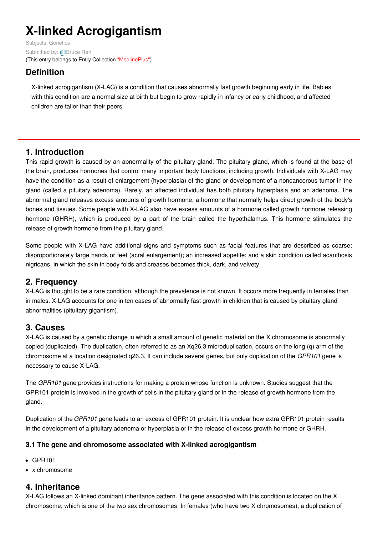# **X-linked Acrogigantism**

Subjects: [Genetics](https://encyclopedia.pub/item/subject/56) Submitted by: **[Bruce](https://sciprofiles.com/profile/1093911) Ren** (This entry belongs to Entry Collection ["MedlinePlus"](https://encyclopedia.pub/entry/collection/24))

# **Definition**

X-linked acrogigantism (X-LAG) is a condition that causes abnormally fast growth beginning early in life. Babies with this condition are a normal size at birth but begin to grow rapidly in infancy or early childhood, and affected children are taller than their peers.

# **1. Introduction**

This rapid growth is caused by an abnormality of the pituitary gland. The pituitary gland, which is found at the base of the brain, produces hormones that control many important body functions, including growth. Individuals with X-LAG may have the condition as a result of enlargement (hyperplasia) of the gland or development of a noncancerous tumor in the gland (called a pituitary adenoma). Rarely, an affected individual has both pituitary hyperplasia and an adenoma. The abnormal gland releases excess amounts of growth hormone, a hormone that normally helps direct growth of the body's bones and tissues. Some people with X-LAG also have excess amounts of a hormone called growth hormone releasing hormone (GHRH), which is produced by a part of the brain called the hypothalamus. This hormone stimulates the release of growth hormone from the pituitary gland.

Some people with X-LAG have additional signs and symptoms such as facial features that are described as coarse; disproportionately large hands or feet (acral enlargement); an increased appetite; and a skin condition called acanthosis nigricans, in which the skin in body folds and creases becomes thick, dark, and velvety.

# **2. Frequency**

X-LAG is thought to be a rare condition, although the prevalence is not known. It occurs more frequently in females than in males. X-LAG accounts for one in ten cases of abnormally fast growth in children that is caused by pituitary gland abnormalities (pituitary gigantism).

# **3. Causes**

X-LAG is caused by a genetic change in which a small amount of genetic material on the X chromosome is abnormally copied (duplicated). The duplication, often referred to as an Xq26.3 microduplication, occurs on the long (q) arm of the chromosome at a location designated q26.3. It can include several genes, but only duplication of the *GPR101* gene is necessary to cause X-LAG.

The *GPR101* gene provides instructions for making a protein whose function is unknown. Studies suggest that the GPR101 protein is involved in the growth of cells in the pituitary gland or in the release of growth hormone from the gland.

Duplication of the *GPR101* gene leads to an excess of GPR101 protein. It is unclear how extra GPR101 protein results in the development of a pituitary adenoma or hyperplasia or in the release of excess growth hormone or GHRH.

## **3.1 The gene and chromosome associated with X-linked acrogigantism**

- GPR101
- x chromosome

# **4. Inheritance**

X-LAG follows an X-linked dominant inheritance pattern. The gene associated with this condition is located on the X chromosome, which is one of the two sex chromosomes. In females (who have two X chromosomes), a duplication of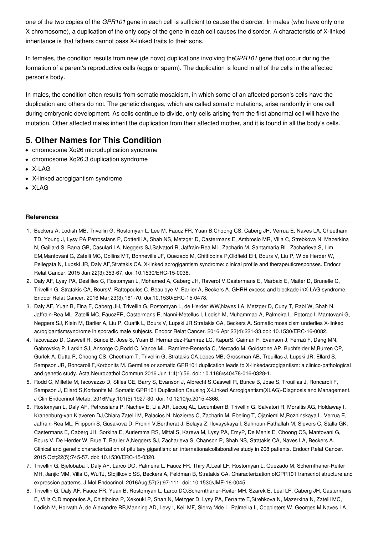one of the two copies of the *GPR101* gene in each cell is sufficient to cause the disorder. In males (who have only one X chromosome), a duplication of the only copy of the gene in each cell causes the disorder. A characteristic of X-linked inheritance is that fathers cannot pass X-linked traits to their sons.

In females, the condition results from new (de novo) duplications involving the*GPR101* gene that occur during the formation of a parent's reproductive cells (eggs or sperm). The duplication is found in all of the cells in the affected person's body.

In males, the condition often results from somatic mosaicism, in which some of an affected person's cells have the duplication and others do not. The genetic changes, which are called somatic mutations, arise randomly in one cell during embryonic development. As cells continue to divide, only cells arising from the first abnormal cell will have the mutation. Other affected males inherit the duplication from their affected mother, and it is found in all the body's cells.

# **5. Other Names for This Condition**

- chromosome Xq26 microduplication syndrome
- chromosome Xq26.3 duplication syndrome
- X-LAG
- X-linked acrogigantism syndrome
- XLAG

### **References**

- 1. Beckers A, Lodish MB, Trivellin G, Rostomyan L, Lee M, Faucz FR, Yuan B,Choong CS, Caberg JH, Verrua E, Naves LA, Cheetham TD, Young J, Lysy PA,Petrossians P, Cotterill A, Shah NS, Metzger D, Castermans E, Ambrosio MR, Villa C, Strebkova N, Mazerkina N, Gaillard S, Barra GB, Casulari LA, Neggers SJ,Salvatori R, Jaffrain-Rea ML, Zacharin M, Santamaria BL, Zacharieva S, Lim EM,Mantovani G, Zatelli MC, Collins MT, Bonneville JF, Quezado M, Chittiboina P,Oldfield EH, Bours V, Liu P, W de Herder W, Pellegata N, Lupski JR, Daly AF,Stratakis CA. X-linked acrogigantism syndrome: clinical profile and therapeuticresponses. Endocr Relat Cancer. 2015 Jun;22(3):353-67. doi: 10.1530/ERC-15-0038.
- 2. Daly AF, Lysy PA, Desfilles C, Rostomyan L, Mohamed A, Caberg JH, Raverot V,Castermans E, Marbaix E, Maiter D, Brunelle C, Trivellin G, Stratakis CA, BoursV, Raftopoulos C, Beauloye V, Barlier A, Beckers A. GHRH excess and blockade inX-LAG syndrome. Endocr Relat Cancer. 2016 Mar;23(3):161-70. doi:10.1530/ERC-15-0478.
- 3. Daly AF, Yuan B, Fina F, Caberg JH, Trivellin G, Rostomyan L, de Herder WW,Naves LA, Metzger D, Cuny T, Rabl W, Shah N, Jaffrain-Rea ML, Zatelli MC, FauczFR, Castermans E, Nanni-Metellus I, Lodish M, Muhammad A, Palmeira L, Potorac I, Mantovani G, Neggers SJ, Klein M, Barlier A, Liu P, Ouafik L, Bours V, Lupski JR,Stratakis CA, Beckers A. Somatic mosaicism underlies X-linked acrogigantismsyndrome in sporadic male subjects. Endocr Relat Cancer. 2016 Apr;23(4):221-33.doi: 10.1530/ERC-16-0082.
- 4. Iacovazzo D, Caswell R, Bunce B, Jose S, Yuan B, Hernández-Ramírez LC, KapurS, Caimari F, Evanson J, Ferraù F, Dang MN, Gabrovska P, Larkin SJ, Ansorge O,Rodd C, Vance ML, Ramírez-Renteria C, Mercado M, Goldstone AP, Buchfelder M,Burren CP, Gurlek A, Dutta P, Choong CS, Cheetham T, Trivellin G, Stratakis CA,Lopes MB, Grossman AB, Trouillas J, Lupski JR, Ellard S, Sampson JR, Roncaroli F,Korbonits M. Germline or somatic GPR101 duplication leads to X-linkedacrogigantism: a clinico-pathological and genetic study. Acta Neuropathol Commun.2016 Jun 1;4(1):56. doi: 10.1186/s40478-016-0328-1.
- 5. Rodd C, Millette M, Iacovazzo D, Stiles CE, Barry S, Evanson J, Albrecht S,Caswell R, Bunce B, Jose S, Trouillas J, Roncaroli F, Sampson J, Ellard S,Korbonits M. Somatic GPR101 Duplication Causing X-Linked Acrogigantism(XLAG)-Diagnosis and Management. J Clin Endocrinol Metab. 2016May;101(5):1927-30. doi: 10.1210/jc.2015-4366.
- 6. Rostomyan L, Daly AF, Petrossians P, Nachev E, Lila AR, Lecoq AL, LecumberriB, Trivellin G, Salvatori R, Moraitis AG, Holdaway I, Kranenburg-van Klaveren DJ,Chiara Zatelli M, Palacios N, Nozieres C, Zacharin M, Ebeling T, Ojaniemi M,Rozhinskaya L, Verrua E, Jaffrain-Rea ML, Filipponi S, Gusakova D, Pronin V,Bertherat J, Belaya Z, Ilovayskaya I, Sahnoun-Fathallah M, Sievers C, Stalla GK, Castermans E, Caberg JH, Sorkina E, Auriemma RS, Mittal S, Kareva M, Lysy PA, EmyP, De Menis E, Choong CS, Mantovani G, Bours V, De Herder W, Brue T, Barlier A,Neggers SJ, Zacharieva S, Chanson P, Shah NS, Stratakis CA, Naves LA, Beckers A. Clinical and genetic characterization of pituitary gigantism: an internationalcollaborative study in 208 patients. Endocr Relat Cancer. 2015 Oct;22(5):745-57. doi: 10.1530/ERC-15-0320.
- 7. Trivellin G, Bjelobaba I, Daly AF, Larco DO, Palmeira L, Faucz FR, Thiry A,Leal LF, Rostomyan L, Quezado M, Schernthaner-Reiter MH, Janjic MM, Villa C, WuTJ, Stojilkovic SS, Beckers A, Feldman B, Stratakis CA. Characterization ofGPR101 transcript structure and expression patterns. J Mol Endocrinol. 2016Aug;57(2):97-111. doi: 10.1530/JME-16-0045.
- 8. Trivellin G, Daly AF, Faucz FR, Yuan B, Rostomyan L, Larco DO,Schernthaner-Reiter MH, Szarek E, Leal LF, Caberg JH, Castermans E, Villa C,Dimopoulos A, Chittiboina P, Xekouki P, Shah N, Metzger D, Lysy PA, Ferrante E,Strebkova N, Mazerkina N, Zatelli MC, Lodish M, Horvath A, de Alexandre RB,Manning AD, Levy I, Keil MF, Sierra Mde L, Palmeira L, Coppieters W, Georges M,Naves LA,